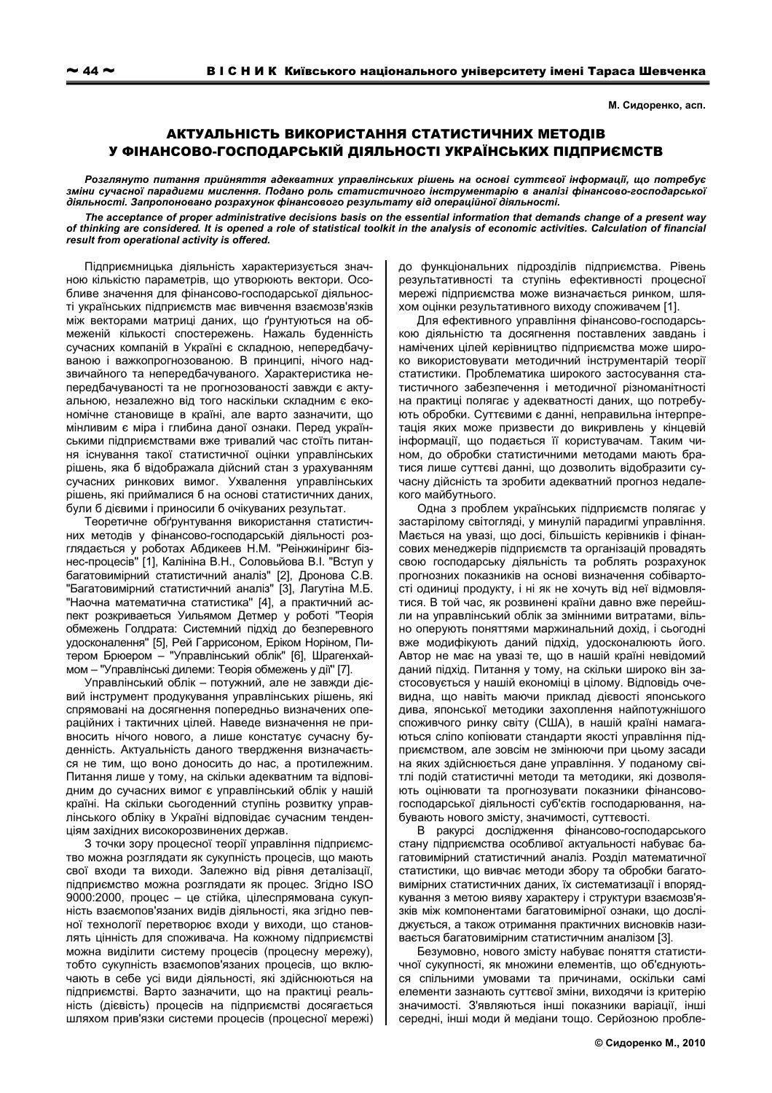М. Сидоренко, асп.

## АКТУАЛЬНІСТЬ ВИКОРИСТАННЯ СТАТИСТИЧНИХ МЕТОДІВ У ФІНАНСОВО-ГОСПОДАРСЬКІЙ ДІЯЛЬНОСТІ УКРАЇНСЬКИХ ПІДПРИЄМСТВ

Розглянуто питання прийняття адекватних управлінських рішень на основі суттєвої інформації, що потребує зміни сучасної парадигми мислення. Подано роль статистичного інструментарію в аналізі фінансово-господарської діяльності. Запропоновано розрахунок фінансового результату від операційної діяльності.

The acceptance of proper administrative decisions basis on the essential information that demands change of a present way of thinking are considered. It is opened a role of statistical toolkit in the analysis of economic activities. Calculation of financial result from operational activity is offered.

Підприємницька діяльність характеризується значною кількістю параметрів, що утворюють вектори. Особливе значення для фінансово-господарської діяльності українських підприємств має вивчення взаємозв'язків між векторами матриці даних, що ґрунтуються на обмеженій кількості спостережень. Нажаль буденність сучасних компаній в Україні є складною, непередбачуваною і важкопрогнозованою. В принципі, нічого надзвичайного та непередбачуваного. Характеристика непередбачуваності та не прогнозованості завжди є актуальною, незалежно від того наскільки складним є економічне становище в країні, але варто зазначити, що мінливим є міра і глибина даної ознаки. Перед українськими підприємствами вже тривалий час стоїть питання існування такої статистичної оцінки управлінських рішень, яка б відображала дійсний стан з урахуванням сучасних ринкових вимог. Ухвалення управлінських рішень, які приймалися б на основі статистичних даних, були б дієвими і приносили б очікуваних результат.

Теоретичне обґрунтування використання статистичних методів у фінансово-господарській діяльності розглядається у роботах Абдикеев Н.М. "Реінжиніринг бізнес-процесів" [1], Калініна В.Н., Соловьйова В.І. "Вступ у багатовимірний статистичний аналіз" [2], Дронова С.В. "Багатовимірний статистичний аналіз" [3], Лагутіна М.Б. "Наочна математична статистика" [4], а практичний аспект розкриваеться Уильямом Детмер у роботі "Теорія обмежень Голдрата: Системний підхід до безперевного удосконалення" [5], Рей Гаррисоном, Еріком Норіном, Питером Брюером - "Управлінський облік" [6], Шрагенхаймом - "Управлінські дилеми: Теорія обмежень у дії" [7].

Управлінський облік - потужний, але не завжди дієвий інструмент продукування управлінських рішень, які спрямовані на досягнення попередньо визначених операційних і тактичних цілей. Наведе визначення не привносить нічого нового, а лише констатує сучасну буденність. Актуальність даного твердження визначається не тим, що воно доносить до нас, а протилежним. Питання лише у тому, на скільки адекватним та відповідним до сучасних вимог є управлінський облік у нашій країні. На скільки сьогоденний ступінь розвитку управлінського обліку в Україні відповідає сучасним тенденціям західних високорозвинених держав.

З точки зору процесної теорії управління підприємство можна розглядати як сукупність процесів, що мають свої входи та виходи. Залежно від рівня деталізації, підприємство можна розглядати як процес. Згідно ISO 9000:2000, процес - це стійка, цілеспрямована сукупність взаємопов'язаних видів діяльності, яка згідно певної технології перетворює входи у виходи, що становлять цінність для споживача. На кожному підприємстві можна виділити систему процесів (процесну мережу), тобто сукупність взаємопов'язаних процесів, що включають в себе усі види діяльності, які здійснюються на підприємстві. Варто зазначити, що на практиці реальність (дієвість) процесів на підприємстві досягається шляхом прив'язки системи процесів (процесної мережі)

до функціональних підрозділів підприємства. Рівень результативності та ступінь ефективності процесної мережі підприємства може визначається ринком, шляхом оцінки результативного виходу споживачем [1].

Для ефективного управління фінансово-господарською діяльністю та досягнення поставлених завдань і намічених цілей керівництво підприємства може широко використовувати методичний інструментарій теорії статистики. Проблематика широкого застосування статистичного забезпечення і методичної різноманітності на практиці полягає у адекватності даних, що потребують обробки. Суттєвими є данні, неправильна інтерпретація яких може призвести до викривлень у кінцевій інформації, що подається її користувачам. Таким чином, до обробки статистичними методами мають братися лише суттєві данні, що дозволить відобразити сучасну дійсність та зробити адекватний прогноз недалекого майбутнього.

Одна з проблем українських підприємств полягає у застарілому світогляді, у минулій парадигмі управління. Мається на увазі, що досі, більшість керівників і фінансових менеджерів підприємств та організацій провадять свою господарську діяльність та роблять розрахунок прогнозних показників на основі визначення собівартості одиниці продукту, і ні як не хочуть від неї відмовлятися. В той час, як розвинені країни давно вже перейшли на управлінський облік за змінними витратами, вільно оперують поняттями маржинальний дохід, і сьогодні вже модифікують даний підхід, удосконалюють його. Автор не має на увазі те, що в нашій країні невідомий даний підхід. Питання у тому, на скільки широко він застосовується у нашій економіці в цілому. Відповідь очевидна, що навіть маючи приклад дієвості японського дива, японської методики захоплення найпотужнішого споживчого ринку світу (США), в нашій країні намагаються сліпо копіювати стандарти якості управління підприємством, але зовсім не змінюючи при цьому засади на яких здійснюється дане управління. У поданому світлі подій статистичні методи та методики, які дозволяють оцінювати та прогнозувати показники фінансовогосподарської діяльності суб'єктів господарювання, набувають нового змісту, значимості, суттєвості.

В ракурсі дослідження фінансово-господарського стану підприємства особливої актуальності набуває багатовимірний статистичний аналіз. Розділ математичної статистики, що вивчає методи збору та обробки багатовимірних статистичних даних, їх систематизації і впорядкування з метою вияву характеру і структури взаємозв'язків між компонентами багатовимірної ознаки, що досліджується, а також отримання практичних висновків називається багатовимірним статистичним аналізом [3].

Безумовно, нового змісту набуває поняття статистичної сукупності, як множини елементів, що об'єднуються спільними умовами та причинами, оскільки самі елементи зазнають суттєвої зміни, виходячи із критерію значимості. З'являються інші показники варіації, інші середні, інші моди й медіани тощо. Серйозною пробле-